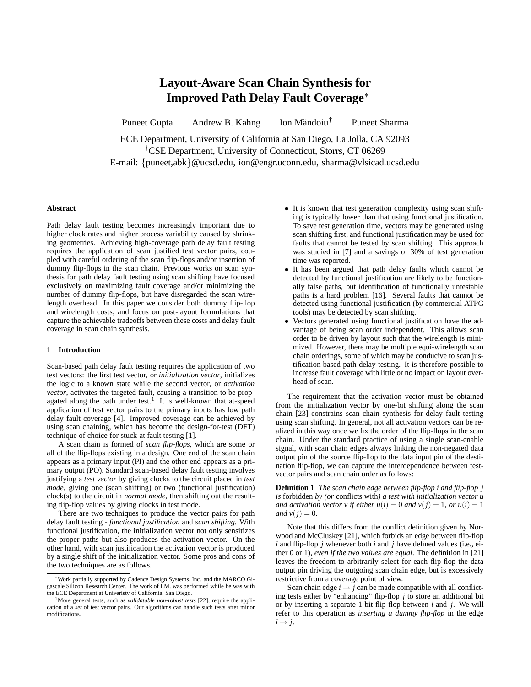# **Layout-Aware Scan Chain Synthesis for Improved Path Delay Fault Coverage**<sup>∗</sup>

Puneet Gupta Andrew B. Kahng Ion Măndoiu<sup>†</sup> † Puneet Sharma

ECE Department, University of California at San Diego, La Jolla, CA 92093 †CSE Department, University of Connecticut, Storrs, CT 06269 E-mail: {puneet,abk}@ucsd.edu, ion@engr.uconn.edu, sharma@vlsicad.ucsd.edu

#### **Abstract**

Path delay fault testing becomes increasingly important due to higher clock rates and higher process variability caused by shrinking geometries. Achieving high-coverage path delay fault testing requires the application of scan justified test vector pairs, coupled with careful ordering of the scan flip-flops and/or insertion of dummy flip-flops in the scan chain. Previous works on scan synthesis for path delay fault testing using scan shifting have focused exclusively on maximizing fault coverage and/or minimizing the number of dummy flip-flops, but have disregarded the scan wirelength overhead. In this paper we consider both dummy flip-flop and wirelength costs, and focus on post-layout formulations that capture the achievable tradeoffs between these costs and delay fault coverage in scan chain synthesis.

#### **1 Introduction**

Scan-based path delay fault testing requires the application of two test vectors: the first test vector, or *initialization vector*, initializes the logic to a known state while the second vector, or *activation vector*, activates the targeted fault, causing a transition to be propagated along the path under test.<sup>1</sup> It is well-known that at-speed application of test vector pairs to the primary inputs has low path delay fault coverage [4]. Improved coverage can be achieved by using scan chaining, which has become the design-for-test (DFT) technique of choice for stuck-at fault testing [1].

A scan chain is formed of *scan flip-flops*, which are some or all of the flip-flops existing in a design. One end of the scan chain appears as a primary input (PI) and the other end appears as a primary output (PO). Standard scan-based delay fault testing involves justifying a *test vector* by giving clocks to the circuit placed in *test mode*, giving one (scan shifting) or two (functional justification) clock(s) to the circuit in *normal mode*, then shifting out the resulting flip-flop values by giving clocks in test mode.

There are two techniques to produce the vector pairs for path delay fault testing - *functional justification* and *scan shifting*. With functional justification, the initialization vector not only sensitizes the proper paths but also produces the activation vector. On the other hand, with scan justification the activation vector is produced by a single shift of the initialization vector. Some pros and cons of the two techniques are as follows.

- It is known that test generation complexity using scan shifting is typically lower than that using functional justification. To save test generation time, vectors may be generated using scan shifting first, and functional justification may be used for faults that cannot be tested by scan shifting. This approach was studied in [7] and a savings of 30% of test generation time was reported.
- It has been argued that path delay faults which cannot be detected by functional justification are likely to be functionally false paths, but identification of functionally untestable paths is a hard problem [16]. Several faults that cannot be detected using functional justification (by commercial ATPG tools) may be detected by scan shifting.
- Vectors generated using functional justification have the advantage of being scan order independent. This allows scan order to be driven by layout such that the wirelength is minimized. However, there may be multiple equi-wirelength scan chain orderings, some of which may be conducive to scan justification based path delay testing. It is therefore possible to increase fault coverage with little or no impact on layout overhead of scan.

The requirement that the activation vector must be obtained from the initialization vector by one-bit shifting along the scan chain [23] constrains scan chain synthesis for delay fault testing using scan shifting. In general, not all activation vectors can be realized in this way once we fix the order of the flip-flops in the scan chain. Under the standard practice of using a single scan-enable signal, with scan chain edges always linking the non-negated data output pin of the source flip-flop to the data input pin of the destination flip-flop, we can capture the interdependence between testvector pairs and scan chain order as follows:

**Definition 1** *The scan chain edge between flip-flop i and flip-flop j is* forbidden *by (or* conflicts with*) a test with initialization vector u and activation vector v if either*  $u(i) = 0$  *and*  $v(j) = 1$ *, or*  $u(i) = 1$ *and*  $v(j) = 0$ *.* 

Note that this differs from the conflict definition given by Norwood and McCluskey [21], which forbids an edge between flip-flop *i* and flip-flop *j* whenever both *i* and *j* have defined values (i.e., either 0 or 1), *even if the two values are equal*. The definition in [21] leaves the freedom to arbitrarily select for each flip-flop the data output pin driving the outgoing scan chain edge, but is excessively restrictive from a coverage point of view.

Scan chain edge  $i \rightarrow j$  can be made compatible with all conflicting tests either by "enhancing" flip-flop *j* to store an additional bit or by inserting a separate 1-bit flip-flop between *i* and *j*. We will refer to this operation as *inserting a dummy flip-flop* in the edge  $i \rightarrow j$ .

<sup>∗</sup>Work partially supported by Cadence Design Systems, Inc. and the MARCO Gigascale Silicon Research Center. The work of I.M. was performed while he was with the ECE Department at Univeristy of California, San Diego.

<sup>&</sup>lt;sup>1</sup>More general tests, such as *validatable non-robust tests* [22], require the application of a *set* of test vector pairs. Our algorithms can handle such tests after minor modifications.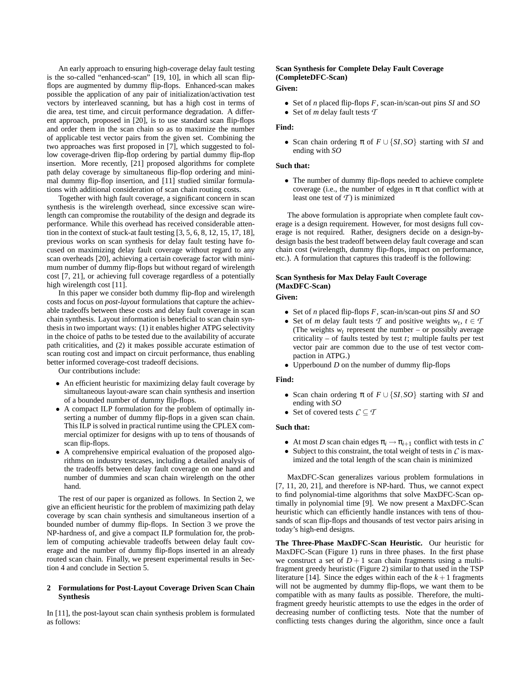An early approach to ensuring high-coverage delay fault testing is the so-called "enhanced-scan" [19, 10], in which all scan flipflops are augmented by dummy flip-flops. Enhanced-scan makes possible the application of any pair of initialization/activation test vectors by interleaved scanning, but has a high cost in terms of die area, test time, and circuit performance degradation. A different approach, proposed in [20], is to use standard scan flip-flops and order them in the scan chain so as to maximize the number of applicable test vector pairs from the given set. Combining the two approaches was first proposed in [7], which suggested to follow coverage-driven flip-flop ordering by partial dummy flip-flop insertion. More recently, [21] proposed algorithms for complete path delay coverage by simultaneous flip-flop ordering and minimal dummy flip-flop insertion, and [11] studied similar formulations with additional consideration of scan chain routing costs.

Together with high fault coverage, a significant concern in scan synthesis is the wirelength overhead, since excessive scan wirelength can compromise the routability of the design and degrade its performance. While this overhead has received considerable attention in the context of stuck-at fault testing [3, 5, 6, 8, 12, 15, 17, 18], previous works on scan synthesis for delay fault testing have focused on maximizing delay fault coverage without regard to any scan overheads [20], achieving a certain coverage factor with minimum number of dummy flip-flops but without regard of wirelength cost [7, 21], or achieving full coverage regardless of a potentially high wirelength cost [11].

In this paper we consider both dummy flip-flop and wirelength costs and focus on *post-layout* formulations that capture the achievable tradeoffs between these costs and delay fault coverage in scan chain synthesis. Layout information is beneficial to scan chain synthesis in two important ways: (1) it enables higher ATPG selectivity in the choice of paths to be tested due to the availability of accurate path criticalities, and (2) it makes possible accurate estimation of scan routing cost and impact on circuit performance, thus enabling better informed coverage-cost tradeoff decisions.

Our contributions include:

- An efficient heuristic for maximizing delay fault coverage by simultaneous layout-aware scan chain synthesis and insertion of a bounded number of dummy flip-flops.
- A compact ILP formulation for the problem of optimally inserting a number of dummy flip-flops in a given scan chain. This ILP is solved in practical runtime using the CPLEX commercial optimizer for designs with up to tens of thousands of scan flip-flops.
- A comprehensive empirical evaluation of the proposed algorithms on industry testcases, including a detailed analysis of the tradeoffs between delay fault coverage on one hand and number of dummies and scan chain wirelength on the other hand.

The rest of our paper is organized as follows. In Section 2, we give an efficient heuristic for the problem of maximizing path delay coverage by scan chain synthesis and simultaneous insertion of a bounded number of dummy flip-flops. In Section 3 we prove the NP-hardness of, and give a compact ILP formulation for, the problem of computing achievable tradeoffs between delay fault coverage and the number of dummy flip-flops inserted in an already routed scan chain. Finally, we present experimental results in Section 4 and conclude in Section 5.

#### **2 Formulations for Post-Layout Coverage Driven Scan Chain Synthesis**

In [11], the post-layout scan chain synthesis problem is formulated as follows:

## **Scan Synthesis for Complete Delay Fault Coverage (CompleteDFC-Scan)**

### **Given:**

• Set of *n* placed flip-flops *F*, scan-in/scan-out pins *SI* and *SO* • Set of *m* delay fault tests *T*

#### **Find:**

• Scan chain ordering  $\pi$  of  $F \cup \{SI, SO\}$  starting with *SI* and ending with *SO*

#### **Such that:**

• The number of dummy flip-flops needed to achieve complete coverage (i.e., the number of edges in  $\pi$  that conflict with at least one test of *T* ) is minimized

The above formulation is appropriate when complete fault coverage is a design requirement. However, for most designs full coverage is not required. Rather, designers decide on a design-bydesign basis the best tradeoff between delay fault coverage and scan chain cost (wirelength, dummy flip-flops, impact on performance, etc.). A formulation that captures this tradeoff is the following:

### **Scan Synthesis for Max Delay Fault Coverage (MaxDFC-Scan)**

**Given:**

- Set of *n* placed flip-flops *F*, scan-in/scan-out pins *SI* and *SO*
- Set of *m* delay fault tests  $T$  and positive weights  $w_t, t \in T$ (The weights  $w_t$  represent the number – or possibly average criticality – of faults tested by test *t*; multiple faults per test vector pair are common due to the use of test vector compaction in ATPG.)
- Upperbound *D* on the number of dummy flip-flops

#### **Find:**

- Scan chain ordering  $\pi$  of  $F \cup \{SI, SO\}$  starting with *SI* and ending with *SO*
- Set of covered tests  $C \subseteq T$

#### **Such that:**

- At most *D* scan chain edges  $\pi_i \rightarrow \pi_{i+1}$  conflict with tests in *C*
- Subject to this constraint, the total weight of tests in *C* is maximized and the total length of the scan chain is minimized

MaxDFC-Scan generalizes various problem formulations in [7, 11, 20, 21], and therefore is NP-hard. Thus, we cannot expect to find polynomial-time algorithms that solve MaxDFC-Scan optimally in polynomial time [9]. We now present a MaxDFC-Scan heuristic which can efficiently handle instances with tens of thousands of scan flip-flops and thousands of test vector pairs arising in today's high-end designs.

**The Three-Phase MaxDFC-Scan Heuristic.** Our heuristic for MaxDFC-Scan (Figure 1) runs in three phases. In the first phase we construct a set of  $D+1$  scan chain fragments using a multifragment greedy heuristic (Figure 2) similar to that used in the TSP literature [14]. Since the edges within each of the  $k+1$  fragments will not be augmented by dummy flip-flops, we want them to be compatible with as many faults as possible. Therefore, the multifragment greedy heuristic attempts to use the edges in the order of decreasing number of conflicting tests. Note that the number of conflicting tests changes during the algorithm, since once a fault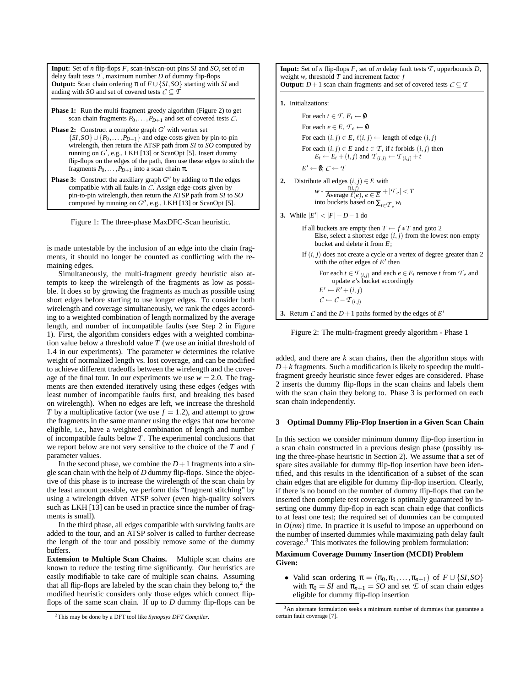**Input:** Set of *n* flip-flops *F*, scan-in/scan-out pins *SI* and *SO*, set of *m* delay fault tests  $\mathcal T$ , maximum number  $D$  of dummy flip-flops **Output:** Scan chain ordering π of *F* ∪{*SI*,*SO*} starting with *SI* and ending with *SO* and set of covered tests  $C \subseteq T$ 

**Phase 1:** Run the multi-fragment greedy algorithm (Figure 2) to get scan chain fragments  $P_0, \ldots, P_{D+1}$  and set of covered tests  $\tilde{C}$ .

- **Phase 2:** Construct a complete graph  $G'$  with vertex set {*SI*,*SO*}∪{*P*0,... ,*PD*+1} and edge-costs given by pin-to-pin wirelength, then return the ATSP path from *SI* to *SO* computed by running on  $G'$ , e.g., LKH [13] or ScanOpt [5]. Insert dummy flip-flops on the edges of the path, then use these edges to stitch the fragments  $P_0, \ldots, P_{D+1}$  into a scan chain  $\pi$ .
- **Phase 3:** Construct the auxiliary graph  $G''$  by adding to  $\pi$  the edges compatible with all faults in *C*. Assign edge-costs given by pin-to-pin wirelength, then return the ATSP path from *SI* to *SO* computed by running on  $G''$ , e.g., LKH [13] or ScanOpt [5].

Figure 1: The three-phase MaxDFC-Scan heuristic.

is made untestable by the inclusion of an edge into the chain fragments, it should no longer be counted as conflicting with the remaining edges.

Simultaneously, the multi-fragment greedy heuristic also attempts to keep the wirelength of the fragments as low as possible. It does so by growing the fragments as much as possible using short edges before starting to use longer edges. To consider both wirelength and coverage simultaneously, we rank the edges according to a weighted combination of length normalized by the average length, and number of incompatible faults (see Step 2 in Figure 1). First, the algorithm considers edges with a weighted combination value below a threshold value *T* (we use an initial threshold of 1.4 in our experiments). The parameter *w* determines the relative weight of normalized length vs. lost coverage, and can be modified to achieve different tradeoffs between the wirelength and the coverage of the final tour. In our experiments we use  $w = 2.0$ . The fragments are then extended iteratively using these edges (edges with least number of incompatible faults first, and breaking ties based on wirelength). When no edges are left, we increase the threshold *T* by a multiplicative factor (we use  $f = 1.2$ ), and attempt to grow the fragments in the same manner using the edges that now become eligible, i.e., have a weighted combination of length and number of incompatible faults below *T*. The experimental conclusions that we report below are not very sensitive to the choice of the *T* and *f* parameter values.

In the second phase, we combine the  $D+1$  fragments into a single scan chain with the help of *D* dummy flip-flops. Since the objective of this phase is to increase the wirelength of the scan chain by the least amount possible, we perform this "fragment stitching" by using a wirelength driven ATSP solver (even high-quality solvers such as LKH [13] can be used in practice since the number of fragments is small).

In the third phase, all edges compatible with surviving faults are added to the tour, and an ATSP solver is called to further decrease the length of the tour and possibly remove some of the dummy buffers.

**Extension to Multiple Scan Chains.** Multiple scan chains are known to reduce the testing time significantly. Our heuristics are easily modifiable to take care of multiple scan chains. Assuming that all flip-flops are labeled by the scan chain they belong to, $2$  the modified heuristic considers only those edges which connect flipflops of the same scan chain. If up to *D* dummy flip-flops can be

```
2This may be done by a DFT tool like Synopsys DFT Compiler.
```
**Input:** Set of *n* flip-flops *F*, set of *m* delay fault tests  $T$ , upperbounds *D*, weight *w*, threshold *T* and increment factor *f* **Output:**  $D+1$  scan chain fragments and set of covered tests  $C \subseteq T$ 

**1.** Initializations:

For each  $t \in \mathcal{T}$ ,  $E_t \leftarrow \emptyset$ For each  $e \in E$  ,  $\mathcal{T}_e \leftarrow \emptyset$ For each  $(i, j) \in E$ ,  $\ell(i, j) \leftarrow$  length of edge  $(i, j)$ For each  $(i, j) \in E$  and  $t \in T$ , if  $t$  forbids  $(i, j)$  then  $E_t \leftarrow E_t + (i, j)$  and  $\mathcal{T}_{(i, j)} \leftarrow \mathcal{T}_{(i, j)} + t$  $E' \leftarrow \emptyset$ ;  $C \leftarrow T$ 

- **2.** Distribute all edges  $(i, j) \in E$  with  $w * \frac{\ell(i,j)}{\text{Average }\ell(e), e \in E} + |T_e| < T$ into buckets based on  $\sum_{t \in \mathcal{T}_e} w_t$
- **3.** While  $|E'| < |F| D 1$  do
	- If all buckets are empty then  $T \leftarrow f * T$  and goto 2 Else, select a shortest edge  $(i, j)$  from the lowest non-empty bucket and delete it from *E*;
	- If  $(i, j)$  does not create a cycle or a vertex of degree greater than 2 with the other edges of  $E'$  then For each  $t \in \mathcal{T}_{(i,j)}$  and each  $e \in E_t$  remove  $t$  from  $\mathcal{T}_e$  and update *e*'s bucket accordingly  $E' \leftarrow E' + (i, j)$

$$
\mathcal{C} \leftarrow \mathcal{C} - \mathcal{T}_{(i,j)}
$$

**3.** Return  $C$  and the  $D+1$  paths formed by the edges of  $E'$ 

Figure 2: The multi-fragment greedy algorithm - Phase 1

added, and there are *k* scan chains, then the algorithm stops with  $D+k$  fragments. Such a modification is likely to speedup the multifragment greedy heuristic since fewer edges are considered. Phase 2 inserts the dummy flip-flops in the scan chains and labels them with the scan chain they belong to. Phase 3 is performed on each scan chain independently.

#### **3 Optimal Dummy Flip-Flop Insertion in a Given Scan Chain**

In this section we consider minimum dummy flip-flop insertion in a scan chain constructed in a previous design phase (possibly using the three-phase heuristic in Section 2). We assume that a set of spare sites available for dummy flip-flop insertion have been identified, and this results in the identification of a subset of the scan chain edges that are eligible for dummy flip-flop insertion. Clearly, if there is no bound on the number of dummy flip-flops that can be inserted then complete test coverage is optimally guaranteed by inserting one dummy flip-flop in each scan chain edge that conflicts to at least one test; the required set of dummies can be computed in  $O(nm)$  time. In practice it is useful to impose an upperbound on the number of inserted dummies while maximizing path delay fault coverage.<sup>3</sup> This motivates the following problem formulation:

#### **Maximum Coverage Dummy Insertion (MCDI) Problem Given:**

• Valid scan ordering  $\pi = (\pi_0, \pi_1, \ldots, \pi_{n+1})$  of  $F \cup \{SI, SO\}$ with  $\pi_0 = SI$  and  $\pi_{n+1} = SO$  and set  $E$  of scan chain edges eligible for dummy flip-flop insertion

 $3$ An alternate formulation seeks a minimum number of dummies that guarantee a certain fault coverage [7].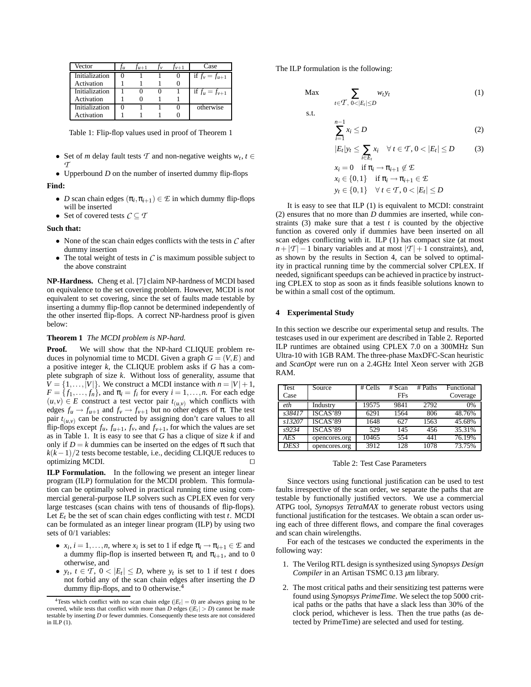| Vector         | l 11 | $Tu+1$ | $\frac{f_v+1}{2}$ | Case               |
|----------------|------|--------|-------------------|--------------------|
| Initialization |      |        |                   | if $f_v = f_{u+1}$ |
| Activation     |      |        |                   |                    |
| Initialization |      |        |                   | if $f_u = f_{v+1}$ |
| Activation     |      |        |                   |                    |
| Initialization |      |        |                   | otherwise          |
| Activation     |      |        |                   |                    |

Table 1: Flip-flop values used in proof of Theorem 1

- Set of *m* delay fault tests  $\mathcal T$  and non-negative weights  $w_t, t \in$ *T*
- Upperbound *D* on the number of inserted dummy flip-flops **Find:**
	- *D* scan chain edges  $(\pi_i, \pi_{i+1}) \in \mathcal{E}$  in which dummy flip-flops will be inserted
	- Set of covered tests  $\mathcal{C} \subseteq \mathcal{T}$

**Such that:**

- None of the scan chain edges conflicts with the tests in *C* after dummy insertion
- The total weight of tests in  $C$  is maximum possible subject to the above constraint

**NP-Hardness.** Cheng et al. [7] claim NP-hardness of MCDI based on equivalence to the set covering problem. However, MCDI is *not* equivalent to set covering, since the set of faults made testable by inserting a dummy flip-flop cannot be determined independently of the other inserted flip-flops. A correct NP-hardness proof is given below:

#### **Theorem 1** *The MCDI problem is NP-hard.*

**Proof.** We will show that the NP-hard CLIQUE problem reduces in polynomial time to MCDI. Given a graph  $G = (V, E)$  and a positive integer *k*, the CLIQUE problem asks if *G* has a complete subgraph of size *k*. Without loss of generality, assume that  $V = \{1, \ldots, |V|\}$ . We construct a MCDI instance with  $n = |V| + 1$ ,  $F = \{f_1, \ldots, f_n\}$ , and  $\pi_i = f_i$  for every  $i = 1, \ldots, n$ . For each edge  $(u, v) \in E$  construct a test vector pair  $t_{(u, v)}$  which conflicts with edges  $f_u \rightarrow f_{u+1}$  and  $f_v \rightarrow f_{v+1}$  but no other edges of  $\pi$ . The test pair  $t_{(u,v)}$  can be constructed by assigning don't care values to all flip-flops except  $f_u$ ,  $f_{u+1}$ ,  $f_v$ , and  $f_{v+1}$ , for which the values are set as in Table 1. It is easy to see that *G* has a clique of size *k* if and only if  $D = k$  dummies can be inserted on the edges of  $\pi$  such that  $k(k-1)/2$  tests become testable, i.e., deciding CLIQUE reduces to  $optimizing MCDI.$ 

**ILP Formulation.** In the following we present an integer linear program (ILP) formulation for the MCDI problem. This formulation can be optimally solved in practical running time using commercial general-purpose ILP solvers such as CPLEX even for very large testcases (scan chains with tens of thousands of flip-flops). Let  $E_t$  be the set of scan chain edges conflicting with test  $t$ . MCDI can be formulated as an integer linear program (ILP) by using two sets of 0/1 variables:

- $x_i$ ,  $i = 1, ..., n$ , where  $x_i$  is set to 1 if edge  $\pi_i \to \pi_{i+1} \in \mathcal{E}$  and a dummy flip-flop is inserted between  $\pi_i$  and  $\pi_{i+1}$ , and to 0 otherwise, and
- $y_t, t \in \mathcal{T}, 0 < |E_t| \leq D$ , where  $y_t$  is set to 1 if test *t* does not forbid any of the scan chain edges after inserting the *D* dummy flip-flops, and to 0 otherwise.<sup>4</sup>

The ILP formulation is the following:

s.t.

$$
\text{Max} \qquad \sum_{t \in \mathcal{T}, \ 0 < |E_t| \le D} w_t y_t \tag{1}
$$

$$
\sum_{i=1}^{n-1} x_i \le D \tag{2}
$$

$$
|E_t|y_t \le \sum_{i \in E_t} x_i \quad \forall \ t \in \mathcal{T}, 0 < |E_t| \le D \tag{3}
$$
\n
$$
x = 0 \quad \text{if } \pi \to \pi_{\text{max}} \notin \mathcal{F}
$$

$$
x_i = 0 \quad \text{if } n_i \to n_{i+1} \notin \mathcal{L}
$$
\n
$$
x_i \in \{0, 1\} \quad \text{if } \pi_i \to \pi_{i+1} \in \mathcal{L}
$$
\n
$$
y_t \in \{0, 1\} \quad \forall \ t \in \mathcal{T}, 0 < |E_t| \leq D
$$

It is easy to see that ILP (1) is equivalent to MCDI: constraint (2) ensures that no more than *D* dummies are inserted, while constraints  $(3)$  make sure that a test *t* is counted by the objective function as covered only if dummies have been inserted on all scan edges conflicting with it. ILP (1) has compact size (at most  $n + |T| - 1$  binary variables and at most  $|T| + 1$  constraints), and, as shown by the results in Section 4, can be solved to optimality in practical running time by the commercial solver CPLEX. If needed, significant speedups can be achieved in practice by instructing CPLEX to stop as soon as it finds feasible solutions known to be within a small cost of the optimum.

#### **4 Experimental Study**

In this section we describe our experimental setup and results. The testcases used in our experiment are described in Table 2. Reported ILP runtimes are obtained using CPLEX 7.0 on a 300MHz Sun Ultra-10 with 1GB RAM. The three-phase MaxDFC-Scan heuristic and *ScanOpt* were run on a 2.4GHz Intel Xeon server with 2GB RAM.

| Test       | Source        | $#$ Cells | $#$ Scan   | # Paths | Functional |
|------------|---------------|-----------|------------|---------|------------|
| Case       |               |           | <b>FFs</b> |         | Coverage   |
| eth        | Industry      | 19575     | 9841       | 2792    | 0%         |
| s38417     | ISCAS'89      | 6291      | 1564       | 806     | 48.76%     |
| s13207     | ISCAS'89      | 1648      | 627        | 1563    | 45.68%     |
| s9234      | ISCAS'89      | 529       | 145        | 456     | 35.31%     |
| <b>AES</b> | opencores.org | 10465     | 554        | 441     | 76.19%     |
| DES3       | opencores.org | 3912      | 128        | 1078    | 73.75%     |

Table 2: Test Case Parameters

Since vectors using functional justification can be used to test faults irrespective of the scan order, we separate the paths that are testable by functionally justified vectors. We use a commercial ATPG tool, *Synopsys TetraMAX* to generate robust vectors using functional justification for the testcases. We obtain a scan order using each of three different flows, and compare the final coverages and scan chain wirelengths.

For each of the testcases we conducted the experiments in the following way:

- 1. The Verilog RTL design is synthesized using *Synopsys Design Compiler* in an Artisan TSMC 0.13 *µ*m library.
- 2. The most critical paths and their sensitizing test patterns were found using *Synopsys PrimeTime*. We select the top 5000 critical paths or the paths that have a slack less than 30% of the clock period, whichever is less. Then the true paths (as detected by PrimeTime) are selected and used for testing.

<sup>&</sup>lt;sup>4</sup>Tests which conflict with no scan chain edge ( $|E_t| = 0$ ) are always going to be covered, while tests that conflict with more than *D* edges ( $|E_t| > D$ ) cannot be made testable by inserting *D* or fewer dummies. Consequently these tests are not considered in ILP (1).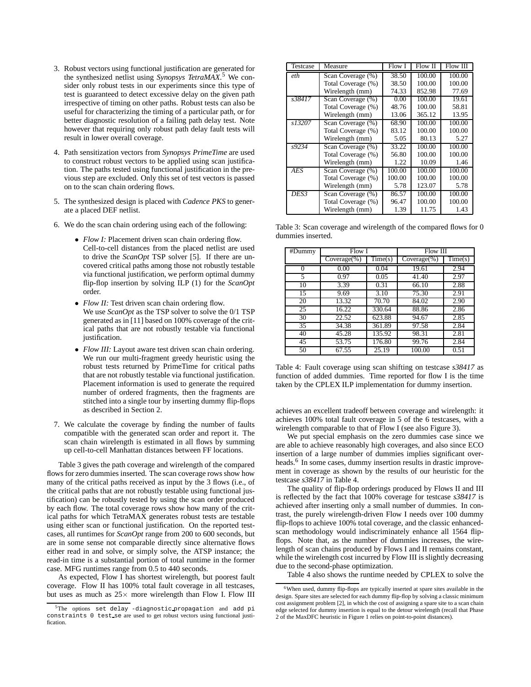- 3. Robust vectors using functional justification are generated for the synthesized netlist using *Synopsys TetraMAX*. <sup>5</sup> We consider only robust tests in our experiments since this type of test is guaranteed to detect excessive delay on the given path irrespective of timing on other paths. Robust tests can also be useful for characterizing the timing of a particular path, or for better diagnostic resolution of a failing path delay test. Note however that requiring only robust path delay fault tests will result in lower overall coverage.
- 4. Path sensitization vectors from *Synopsys PrimeTime* are used to construct robust vectors to be applied using scan justification. The paths tested using functional justification in the previous step are excluded. Only this set of test vectors is passed on to the scan chain ordering flows.
- 5. The synthesized design is placed with *Cadence PKS* to generate a placed DEF netlist.
- 6. We do the scan chain ordering using each of the following:
	- *Flow I:* Placement driven scan chain ordering flow. Cell-to-cell distances from the placed netlist are used to drive the *ScanOpt* TSP solver [5]. If there are uncovered critical paths among those not robustly testable via functional justification, we perform optimal dummy flip-flop insertion by solving ILP (1) for the *ScanOpt* order.
	- *Flow II:* Test driven scan chain ordering flow. We use *ScanOpt* as the TSP solver to solve the 0/1 TSP generated as in [11] based on 100% coverage of the critical paths that are not robustly testable via functional justification.
	- *Flow III:* Layout aware test driven scan chain ordering. We run our multi-fragment greedy heuristic using the robust tests returned by PrimeTime for critical paths that are not robustly testable via functional justification. Placement information is used to generate the required number of ordered fragments, then the fragments are stitched into a single tour by inserting dummy flip-flops as described in Section 2.
- 7. We calculate the coverage by finding the number of faults compatible with the generated scan order and report it. The scan chain wirelength is estimated in all flows by summing up cell-to-cell Manhattan distances between FF locations.

Table 3 gives the path coverage and wirelength of the compared flows for zero dummies inserted. The scan coverage rows show how many of the critical paths received as input by the 3 flows (i.e., of the critical paths that are not robustly testable using functional justification) can be robustly tested by using the scan order produced by each flow. The total coverage rows show how many of the critical paths for which TetraMAX generates robust tests are testable using either scan or functional justification. On the reported testcases, all runtimes for *ScanOpt* range from 200 to 600 seconds, but are in some sense not comparable directly since alternative flows either read in and solve, or simply solve, the ATSP instance; the read-in time is a substantial portion of total runtime in the former case. MFG runtimes range from 0.5 to 440 seconds.

As expected, Flow I has shortest wirelength, but poorest fault coverage. Flow II has 100% total fault coverage in all testcases, but uses as much as  $25\times$  more wirelength than Flow I. Flow III

| Testcase            | Measure            | Flow I | Flow II | Flow III |
|---------------------|--------------------|--------|---------|----------|
| eth                 | Scan Coverage (%)  | 38.50  | 100.00  | 100.00   |
|                     | Total Coverage (%) | 38.50  | 100.00  | 100.00   |
|                     | Wirelength (mm)    | 74.33  | 852.98  | 77.69    |
| s38417              | Scan Coverage (%)  | 0.00   | 100.00  | 19.61    |
|                     | Total Coverage (%) | 48.76  | 100.00  | 58.81    |
|                     | Wirelength (mm)    | 13.06  | 365.12  | 13.95    |
| $\overline{s13207}$ | Scan Coverage (%)  | 68.90  | 100.00  | 100.00   |
|                     | Total Coverage (%) | 83.12  | 100.00  | 100.00   |
|                     | Wirelength (mm)    | 5.05   | 80.13   | 5.27     |
| s9234               | Scan Coverage (%)  | 33.22  | 100.00  | 100.00   |
|                     | Total Coverage (%) | 56.80  | 100.00  | 100.00   |
|                     | Wirelength (mm)    | 1.22   | 10.09   | 1.46     |
| <b>AES</b>          | Scan Coverage (%)  | 100.00 | 100.00  | 100.00   |
|                     | Total Coverage (%) | 100.00 | 100.00  | 100.00   |
|                     | Wirelength (mm)    | 5.78   | 123.07  | 5.78     |
| DES3                | Scan Coverage (%)  | 86.57  | 100.00  | 100.00   |
|                     | Total Coverage (%) | 96.47  | 100.00  | 100.00   |
|                     | Wirelength (mm)    | 1.39   | 11.75   | 1.43     |

Table 3: Scan coverage and wirelength of the compared flows for 0 dummies inserted.

| #Dummy   | Flow I         |         | Flow III       |         |  |
|----------|----------------|---------|----------------|---------|--|
|          | $Coverage(\%)$ | Time(s) | $Coverage(\%)$ | Time(s) |  |
| $\Omega$ | 0.00           | 0.04    | 19.61          | 2.94    |  |
| 5        | 0.97           | 0.05    | 41.40          | 2.97    |  |
| 10       | 3.39           | 0.31    | 66.10          | 2.88    |  |
| 15       | 9.69           | 3.10    | 75.30          | 2.91    |  |
| 20       | 13.32          | 70.70   | 84.02          | 2.90    |  |
| 25       | 16.22          | 330.64  | 88.86          | 2.86    |  |
| 30       | 22.52          | 623.88  | 94.67          | 2.85    |  |
| 35       | 34.38          | 361.89  | 97.58          | 2.84    |  |
| 40       | 45.28          | 135.92  | 98.31          | 2.81    |  |
| 45       | 53.75          | 176.80  | 99.76          | 2.84    |  |
| 50       | 67.55          | 25.19   | 100.00         | 0.51    |  |

Table 4: Fault coverage using scan shifting on testcase *s38417* as function of added dummies. Time reported for flow I is the time taken by the CPLEX ILP implementation for dummy insertion.

achieves an excellent tradeoff between coverage and wirelength: it achieves 100% total fault coverage in 5 of the 6 testcases, with a wirelength comparable to that of Flow I (see also Figure 3).

We put special emphasis on the zero dummies case since we are able to achieve reasonably high coverages, and also since ECO insertion of a large number of dummies implies significant overheads.<sup>6</sup> In some cases, dummy insertion results in drastic improvement in coverage as shown by the results of our heuristic for the testcase *s38417* in Table 4.

The quality of flip-flop orderings produced by Flows II and III is reflected by the fact that 100% coverage for testcase *s38417* is achieved after inserting only a small number of dummies. In contrast, the purely wirelength-driven Flow I needs over 100 dummy flip-flops to achieve 100% total coverage, and the classic enhancedscan methodology would indiscriminately enhance all 1564 flipflops. Note that, as the number of dummies increases, the wirelength of scan chains produced by Flows I and II remains constant, while the wirelength cost incurred by Flow III is slightly decreasing due to the second-phase optimization.

Table 4 also shows the runtime needed by CPLEX to solve the

<sup>5</sup>The options set delay -diagnostic propagation and add pi constraints 0 test se are used to get robust vectors using functional justification.

<sup>&</sup>lt;sup>6</sup>When used, dummy flip-flops are typically inserted at spare sites available in the design. Spare sites are selected for each dummy flip-flop by solving a classic minimum cost assignment problem [2], in which the cost of assigning a spare site to a scan chain edge selected for dummy insertion is equal to the detour wirelength (recall that Phase 2 of the MaxDFC heuristic in Figure 1 relies on point-to-point distances).